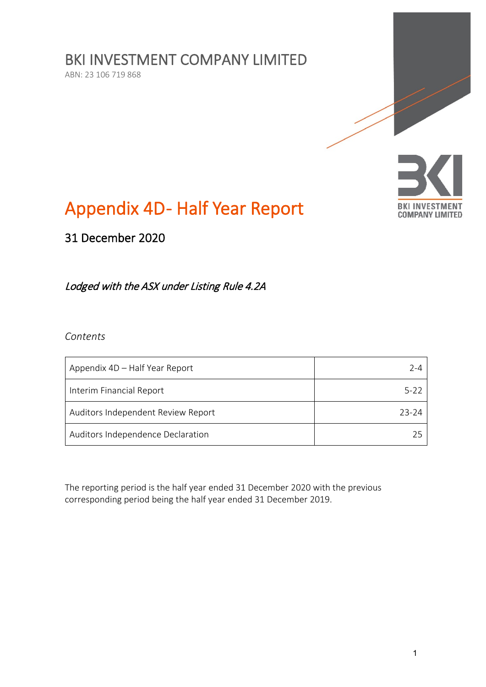BKI INVESTMENT COMPANY LIMITED

ABN: 23 106 719 868



# Appendix 4D-Half Year Report

31 December 2020

Lodged with the ASX under Listing Rule 4.2A

*Contents*

| Appendix 4D – Half Year Report     | 7-4   |
|------------------------------------|-------|
| Interim Financial Report           | 5-22  |
| Auditors Independent Review Report | 23-24 |
| Auditors Independence Declaration  |       |

The reporting period is the half year ended 31 December 2020 with the previous corresponding period being the half year ended 31 December 2019.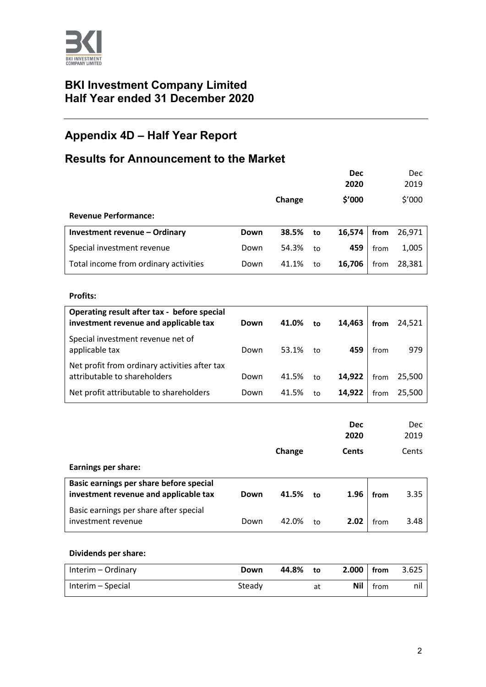

# **BKI Investment Company Limited Half Year ended 31 December 2020**

# **Appendix 4D – Half Year Report**

# **Results for Announcement to the Market**

|                                       |      |        |    | <b>Dec</b><br>2020 |      | Dec<br>2019 |
|---------------------------------------|------|--------|----|--------------------|------|-------------|
|                                       |      | Change |    | \$'000             |      | \$′000      |
| <b>Revenue Performance:</b>           |      |        |    |                    |      |             |
| Investment revenue - Ordinary         | Down | 38.5%  | to | 16,574             | from | 26,971      |
| Special investment revenue            | Down | 54.3%  | to | 459                | from | 1,005       |
| Total income from ordinary activities | Down | 41.1%  | to | 16,706             | from | 28,381      |

#### **Profits:**

| Operating result after tax - before special<br>investment revenue and applicable tax | Down | 41.0%    | to | 14,463 | from | 24,521 |
|--------------------------------------------------------------------------------------|------|----------|----|--------|------|--------|
| Special investment revenue net of<br>applicable tax                                  | Down | 53.1% to |    | 459    | from | 979    |
| Net profit from ordinary activities after tax<br>attributable to shareholders        | Down | 41.5%    | to | 14,922 | from | 25,500 |
| Net profit attributable to shareholders                                              | Down | 41.5%    | to | 14.922 | from | 25.500 |

|                                                                                  |      |        |    | <b>Dec</b><br>2020 |      | <b>Dec</b><br>2019 |
|----------------------------------------------------------------------------------|------|--------|----|--------------------|------|--------------------|
|                                                                                  |      | Change |    | <b>Cents</b>       |      | Cents              |
| <b>Earnings per share:</b>                                                       |      |        |    |                    |      |                    |
| Basic earnings per share before special<br>investment revenue and applicable tax | Down | 41.5%  | to | 1.96               | from | 3.35               |
| Basic earnings per share after special<br>investment revenue                     | Down | 42.0%  | to | 2.02               | from | 3.48               |

#### **Dividends per share:**

| Interim – Ordinary | Down   | 44.8% | to | $2.000$   from |      | 3.625 |
|--------------------|--------|-------|----|----------------|------|-------|
| Interim – Special  | Steady |       | at | Nil            | from | nıl   |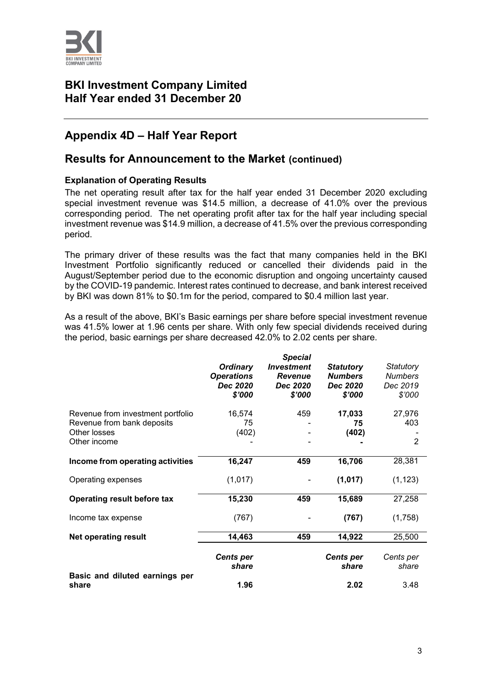

# **BKI Investment Company Limited Half Year ended 31 December 20**

# **Appendix 4D – Half Year Report**

# **Results for Announcement to the Market (continued)**

#### **Explanation of Operating Results**

The net operating result after tax for the half year ended 31 December 2020 excluding special investment revenue was \$14.5 million, a decrease of 41.0% over the previous corresponding period. The net operating profit after tax for the half year including special investment revenue was \$14.9 million, a decrease of 41.5% over the previous corresponding period.

The primary driver of these results was the fact that many companies held in the BKI Investment Portfolio significantly reduced or cancelled their dividends paid in the August/September period due to the economic disruption and ongoing uncertainty caused by the COVID-19 pandemic. Interest rates continued to decrease, and bank interest received by BKI was down 81% to \$0.1m for the period, compared to \$0.4 million last year.

As a result of the above, BKI's Basic earnings per share before special investment revenue was 41.5% lower at 1.96 cents per share. With only few special dividends received during the period, basic earnings per share decreased 42.0% to 2.02 cents per share.

|                                                                                                 | <b>Ordinary</b><br><b>Operations</b><br>Dec 2020<br>\$'000 | <b>Special</b><br><b>Investment</b><br><b>Revenue</b><br>Dec 2020<br>\$'000 | <b>Statutory</b><br><b>Numbers</b><br>Dec 2020<br>\$'000 | Statutory<br><b>Numbers</b><br>Dec 2019<br>\$'000 |
|-------------------------------------------------------------------------------------------------|------------------------------------------------------------|-----------------------------------------------------------------------------|----------------------------------------------------------|---------------------------------------------------|
| Revenue from investment portfolio<br>Revenue from bank deposits<br>Other losses<br>Other income | 16,574<br>75<br>(402)                                      | 459                                                                         | 17,033<br>75<br>(402)                                    | 27,976<br>403<br>$\overline{2}$                   |
| Income from operating activities                                                                | 16,247                                                     | 459                                                                         | 16,706                                                   | 28,381                                            |
| Operating expenses                                                                              | (1,017)                                                    |                                                                             | (1,017)                                                  | (1, 123)                                          |
| Operating result before tax                                                                     | 15,230                                                     | 459                                                                         | 15,689                                                   | 27,258                                            |
| Income tax expense                                                                              | (767)                                                      |                                                                             | (767)                                                    | (1,758)                                           |
| <b>Net operating result</b>                                                                     | 14,463                                                     | 459                                                                         | 14,922                                                   | 25,500                                            |
|                                                                                                 | <b>Cents per</b><br>share                                  |                                                                             | <b>Cents per</b><br>share                                | Cents per<br>share                                |
| Basic and diluted earnings per<br>share                                                         | 1.96                                                       |                                                                             | 2.02                                                     | 3.48                                              |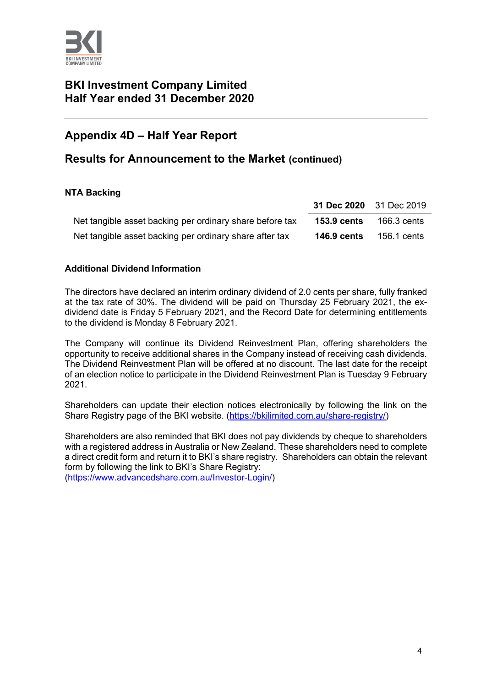

# **BKI Investment Company Limited Half Year ended 31 December 2020**

# **Appendix 4D – Half Year Report**

# **Results for Announcement to the Market (continued)**

## **NTA Backing**

|                                                          | 31 Dec 2020 31 Dec 2019 |             |
|----------------------------------------------------------|-------------------------|-------------|
| Net tangible asset backing per ordinary share before tax | <b>153.9 cents</b>      | 166.3 cents |
| Net tangible asset backing per ordinary share after tax  | <b>146.9 cents</b>      | 156.1 cents |

#### **Additional Dividend Information**

The directors have declared an interim ordinary dividend of 2.0 cents per share, fully franked at the tax rate of 30%. The dividend will be paid on Thursday 25 February 2021, the exdividend date is Friday 5 February 2021, and the Record Date for determining entitlements to the dividend is Monday 8 February 2021.

The Company will continue its Dividend Reinvestment Plan, offering shareholders the opportunity to receive additional shares in the Company instead of receiving cash dividends. The Dividend Reinvestment Plan will be offered at no discount. The last date for the receipt of an election notice to participate in the Dividend Reinvestment Plan is Tuesday 9 February 2021.

Shareholders can update their election notices electronically by following the link on the Share Registry page of the BKI website. [\(https://bkilimited.com.au/share-registry/\)](https://bkilimited.com.au/share-registry/)

Shareholders are also reminded that BKI does not pay dividends by cheque to shareholders with a registered address in Australia or New Zealand. These shareholders need to complete a direct credit form and return it to BKI's share registry. Shareholders can obtain the relevant form by following the link to BKI's Share Registry:

[\(https://www.advancedshare.com.au/Investor-Login/\)](https://www.advancedshare.com.au/Investor-Login/)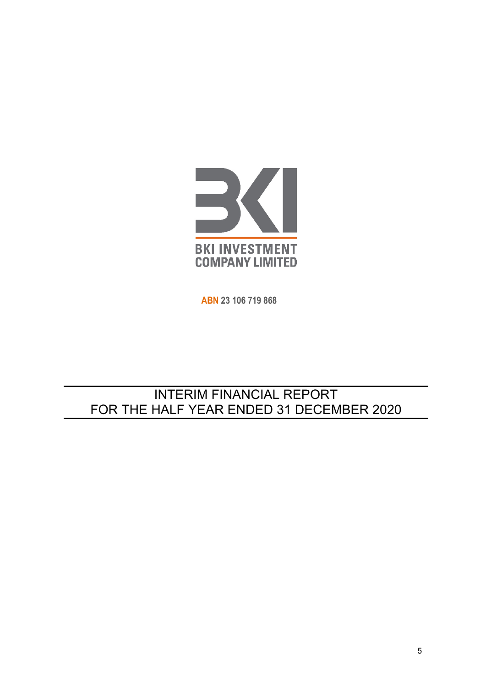

**ABN 23 106 719 868**

# INTERIM FINANCIAL REPORT FOR THE HALF YEAR ENDED 31 DECEMBER 2020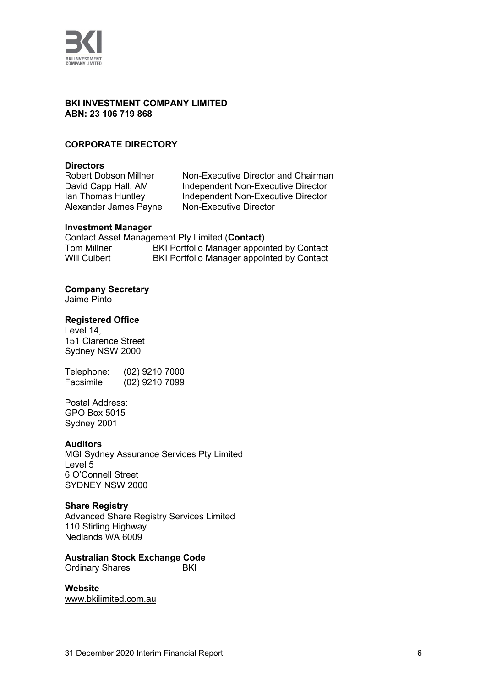

#### **BKI INVESTMENT COMPANY LIMITED ABN: 23 106 719 868**

#### **CORPORATE DIRECTORY**

**Directors** Alexander James Payne

Robert Dobson Millner Non-Executive Director and Chairman<br>David Capp Hall, AM Independent Non-Executive Director David Capp Hall, AM Independent Non-Executive Director<br>Ian Thomas Huntley Independent Non-Executive Director Independent Non-Executive Director<br>Non-Executive Director

#### **Investment Manager**

Contact Asset Management Pty Limited (**Contact**) Tom Millner **BKI Portfolio Manager appointed by Contact**<br>Will Culbert **BKI Portfolio Manager appointed by Contact** BKI Portfolio Manager appointed by Contact

#### **Company Secretary**

Jaime Pinto

#### **Registered Office**

Level 14, 151 Clarence Street Sydney NSW 2000

Telephone: (02) 9210 7000 Facsimile: (02) 9210 7099

Postal Address: GPO Box 5015 Sydney 2001

#### **Auditors**

MGI Sydney Assurance Services Pty Limited Level 5 6 O'Connell Street SYDNEY NSW 2000

#### **Share Registry**

Advanced Share Registry Services Limited 110 Stirling Highway Nedlands WA 6009

**Australian Stock Exchange Code**

**Ordinary Shares** 

# **Website**

[www.bkilimited.com.au](http://www.bkilimited.com.au/)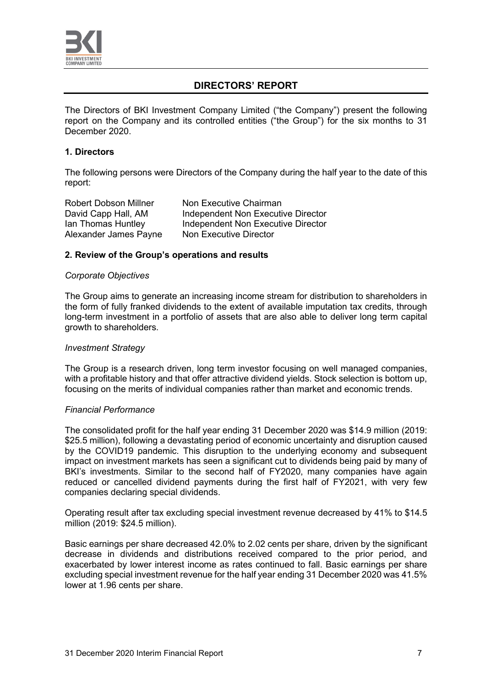

# **DIRECTORS' REPORT**

The Directors of BKI Investment Company Limited ("the Company") present the following report on the Company and its controlled entities ("the Group") for the six months to 31 December 2020.

#### **1. Directors**

The following persons were Directors of the Company during the half year to the date of this report:

Alexander James Payne

Robert Dobson Millner Non Executive Chairman<br>David Capp Hall, AM andependent Non Executi David Capp Hall, AM Independent Non Executive Director<br>Ian Thomas Huntley Independent Non Executive Director Independent Non Executive Director<br>Non Executive Director

#### **2. Review of the Group's operations and results**

#### *Corporate Objectives*

The Group aims to generate an increasing income stream for distribution to shareholders in the form of fully franked dividends to the extent of available imputation tax credits, through long-term investment in a portfolio of assets that are also able to deliver long term capital growth to shareholders.

#### *Investment Strategy*

The Group is a research driven, long term investor focusing on well managed companies, with a profitable history and that offer attractive dividend yields. Stock selection is bottom up, focusing on the merits of individual companies rather than market and economic trends.

#### *Financial Performance*

The consolidated profit for the half year ending 31 December 2020 was \$14.9 million (2019: \$25.5 million), following a devastating period of economic uncertainty and disruption caused by the COVID19 pandemic. This disruption to the underlying economy and subsequent impact on investment markets has seen a significant cut to dividends being paid by many of BKI's investments. Similar to the second half of FY2020, many companies have again reduced or cancelled dividend payments during the first half of FY2021, with very few companies declaring special dividends.

Operating result after tax excluding special investment revenue decreased by 41% to \$14.5 million (2019: \$24.5 million).

Basic earnings per share decreased 42.0% to 2.02 cents per share, driven by the significant decrease in dividends and distributions received compared to the prior period, and exacerbated by lower interest income as rates continued to fall. Basic earnings per share excluding special investment revenue for the half year ending 31 December 2020 was 41.5% lower at 1.96 cents per share.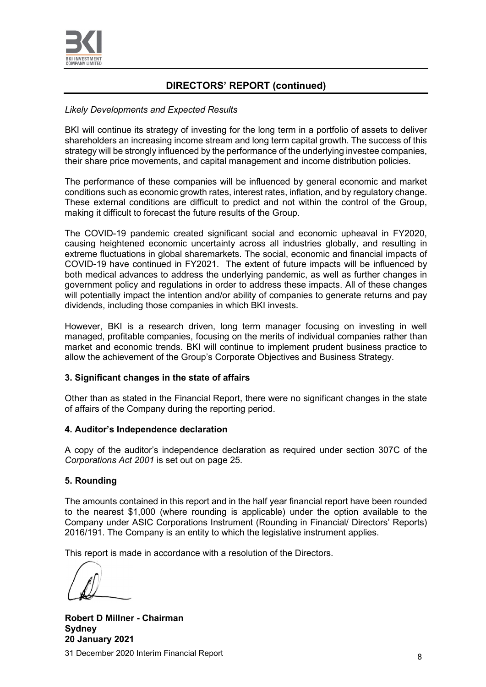

# **DIRECTORS' REPORT (continued)**

#### *Likely Developments and Expected Results*

BKI will continue its strategy of investing for the long term in a portfolio of assets to deliver shareholders an increasing income stream and long term capital growth. The success of this strategy will be strongly influenced by the performance of the underlying investee companies, their share price movements, and capital management and income distribution policies.

The performance of these companies will be influenced by general economic and market conditions such as economic growth rates, interest rates, inflation, and by regulatory change. These external conditions are difficult to predict and not within the control of the Group, making it difficult to forecast the future results of the Group.

The COVID-19 pandemic created significant social and economic upheaval in FY2020, causing heightened economic uncertainty across all industries globally, and resulting in extreme fluctuations in global sharemarkets. The social, economic and financial impacts of COVID-19 have continued in FY2021. The extent of future impacts will be influenced by both medical advances to address the underlying pandemic, as well as further changes in government policy and regulations in order to address these impacts. All of these changes will potentially impact the intention and/or ability of companies to generate returns and pay dividends, including those companies in which BKI invests.

However, BKI is a research driven, long term manager focusing on investing in well managed, profitable companies, focusing on the merits of individual companies rather than market and economic trends. BKI will continue to implement prudent business practice to allow the achievement of the Group's Corporate Objectives and Business Strategy.

#### **3. Significant changes in the state of affairs**

Other than as stated in the Financial Report, there were no significant changes in the state of affairs of the Company during the reporting period.

#### **4. Auditor's Independence declaration**

A copy of the auditor's independence declaration as required under section 307C of the *Corporations Act 2001* is set out on page 25.

#### **5. Rounding**

The amounts contained in this report and in the half year financial report have been rounded to the nearest \$1,000 (where rounding is applicable) under the option available to the Company under ASIC Corporations Instrument (Rounding in Financial/ Directors' Reports) 2016/191. The Company is an entity to which the legislative instrument applies.

This report is made in accordance with a resolution of the Directors.

31 December 2020 Interim Financial Report <sup>8</sup> **Robert D Millner - Chairman Sydney 20 January 2021**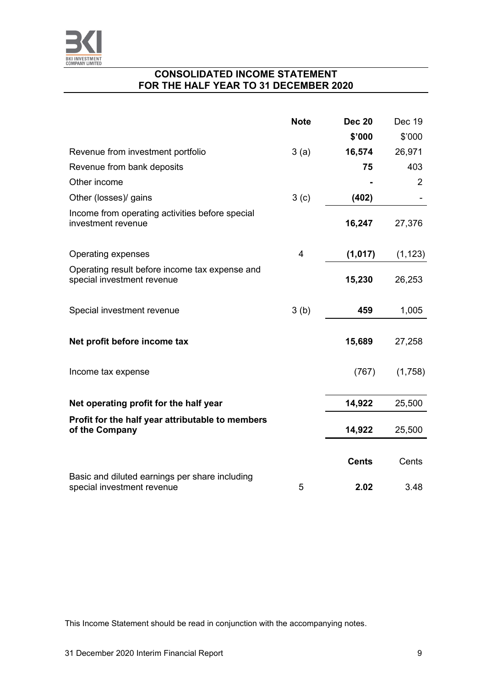

# **CONSOLIDATED INCOME STATEMENT FOR THE HALF YEAR TO 31 DECEMBER 2020**

|                                                                              | <b>Note</b> | <b>Dec 20</b> | Dec 19         |
|------------------------------------------------------------------------------|-------------|---------------|----------------|
|                                                                              |             | \$'000        | \$'000         |
| Revenue from investment portfolio                                            | 3(a)        | 16,574        | 26,971         |
| Revenue from bank deposits                                                   |             | 75            | 403            |
| Other income                                                                 |             |               | $\overline{2}$ |
| Other (losses)/ gains                                                        | 3(c)        | (402)         |                |
| Income from operating activities before special<br>investment revenue        |             | 16,247        | 27,376         |
| Operating expenses                                                           | 4           | (1,017)       | (1, 123)       |
| Operating result before income tax expense and<br>special investment revenue |             | 15,230        | 26,253         |
| Special investment revenue                                                   | 3(b)        | 459           | 1,005          |
| Net profit before income tax                                                 |             | 15,689        | 27,258         |
| Income tax expense                                                           |             | (767)         | (1,758)        |
| Net operating profit for the half year                                       |             | 14,922        | 25,500         |
| Profit for the half year attributable to members<br>of the Company           |             | 14,922        | 25,500         |
|                                                                              |             | <b>Cents</b>  | Cents          |
| Basic and diluted earnings per share including<br>special investment revenue | 5           | 2.02          | 3.48           |

This Income Statement should be read in conjunction with the accompanying notes.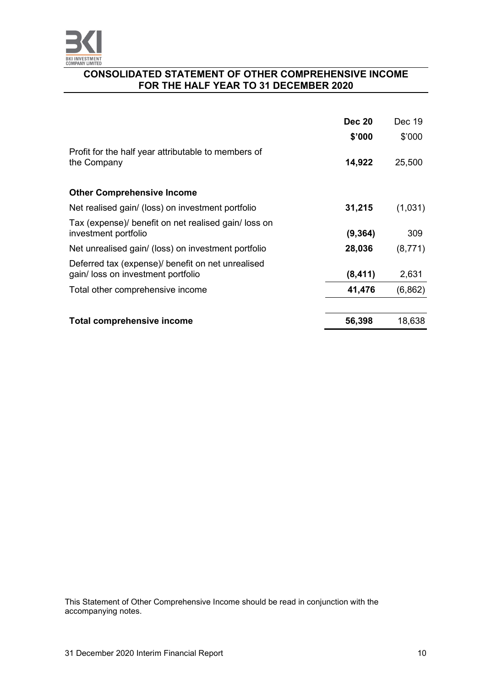

#### **CONSOLIDATED STATEMENT OF OTHER COMPREHENSIVE INCOME FOR THE HALF YEAR TO 31 DECEMBER 2020**

|                                                                                        | <b>Dec 20</b> | Dec 19   |
|----------------------------------------------------------------------------------------|---------------|----------|
|                                                                                        | \$'000        | \$'000   |
| Profit for the half year attributable to members of<br>the Company                     | 14,922        | 25,500   |
| <b>Other Comprehensive Income</b>                                                      |               |          |
| Net realised gain/ (loss) on investment portfolio                                      | 31,215        | (1,031)  |
| Tax (expense)/ benefit on net realised gain/ loss on<br>investment portfolio           | (9, 364)      | 309      |
| Net unrealised gain/ (loss) on investment portfolio                                    | 28,036        | (8,771)  |
| Deferred tax (expense) benefit on net unrealised<br>gain/ loss on investment portfolio | (8, 411)      | 2,631    |
| Total other comprehensive income                                                       | 41,476        | (6, 862) |
| Total comprehensive income                                                             | 56,398        | 18,638   |

This Statement of Other Comprehensive Income should be read in conjunction with the accompanying notes.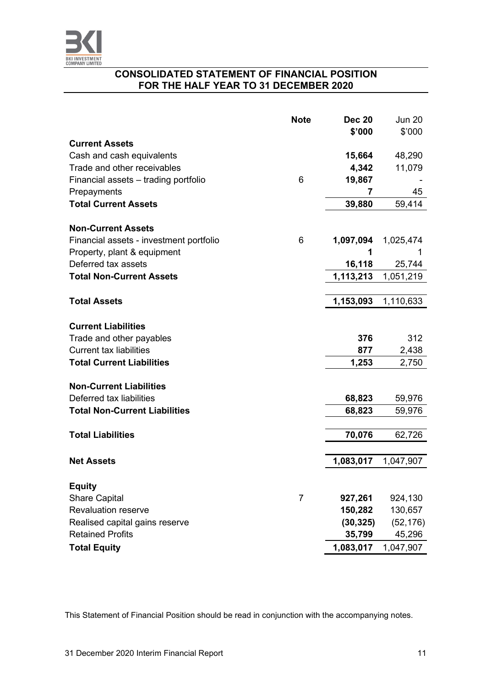

## **CONSOLIDATED STATEMENT OF FINANCIAL POSITION FOR THE HALF YEAR TO 31 DECEMBER 2020**

|                                         | <b>Note</b> | <b>Dec 20</b> | <b>Jun 20</b> |
|-----------------------------------------|-------------|---------------|---------------|
|                                         |             | \$'000        | \$'000        |
| <b>Current Assets</b>                   |             |               |               |
| Cash and cash equivalents               |             | 15,664        | 48,290        |
| Trade and other receivables             |             | 4,342         | 11,079        |
| Financial assets - trading portfolio    | 6           | 19,867        |               |
| Prepayments                             |             | 7             | 45            |
| <b>Total Current Assets</b>             |             | 39,880        | 59,414        |
|                                         |             |               |               |
| <b>Non-Current Assets</b>               |             |               |               |
| Financial assets - investment portfolio | 6           | 1,097,094     | 1,025,474     |
| Property, plant & equipment             |             | 1             | 1             |
| Deferred tax assets                     |             | 16,118        | 25,744        |
| <b>Total Non-Current Assets</b>         |             | 1,113,213     | 1,051,219     |
|                                         |             |               |               |
| <b>Total Assets</b>                     |             | 1,153,093     | 1,110,633     |
| <b>Current Liabilities</b>              |             |               |               |
| Trade and other payables                |             | 376           | 312           |
| <b>Current tax liabilities</b>          |             | 877           | 2,438         |
| <b>Total Current Liabilities</b>        |             | 1,253         | 2,750         |
|                                         |             |               |               |
| <b>Non-Current Liabilities</b>          |             |               |               |
| Deferred tax liabilities                |             | 68,823        | 59,976        |
| <b>Total Non-Current Liabilities</b>    |             | 68,823        | 59,976        |
|                                         |             |               |               |
| <b>Total Liabilities</b>                |             | 70,076        | 62,726        |
|                                         |             |               |               |
| <b>Net Assets</b>                       |             | 1,083,017     | 1,047,907     |
|                                         |             |               |               |
| <b>Equity</b>                           |             |               |               |
| <b>Share Capital</b>                    | 7           | 927,261       | 924,130       |
| <b>Revaluation reserve</b>              |             | 150,282       | 130,657       |
| Realised capital gains reserve          |             | (30, 325)     | (52, 176)     |
| <b>Retained Profits</b>                 |             | 35,799        | 45,296        |
| <b>Total Equity</b>                     |             | 1,083,017     | 1,047,907     |

This Statement of Financial Position should be read in conjunction with the accompanying notes.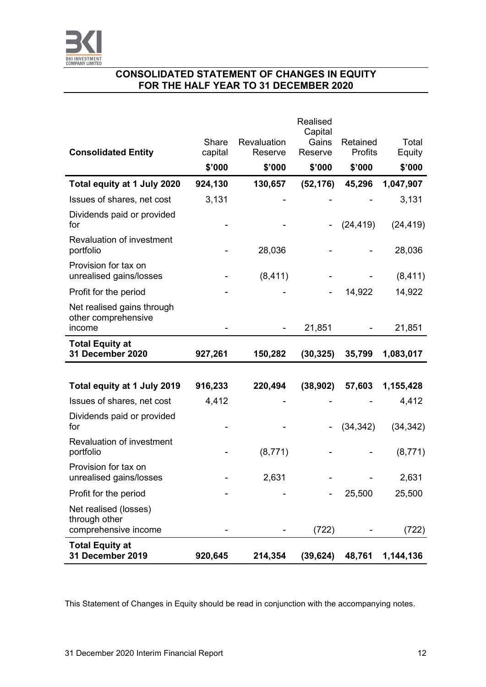

# **CONSOLIDATED STATEMENT OF CHANGES IN EQUITY FOR THE HALF YEAR TO 31 DECEMBER 2020**

|                                                                |         |             | <b>Realised</b><br>Capital |           |           |
|----------------------------------------------------------------|---------|-------------|----------------------------|-----------|-----------|
|                                                                | Share   | Revaluation | Gains                      | Retained  | Total     |
| <b>Consolidated Entity</b>                                     | capital | Reserve     | Reserve                    | Profits   | Equity    |
|                                                                | \$'000  | \$'000      | \$'000                     | \$'000    | \$'000    |
| Total equity at 1 July 2020                                    | 924,130 | 130,657     | (52, 176)                  | 45,296    | 1,047,907 |
| Issues of shares, net cost                                     | 3,131   |             |                            |           | 3,131     |
| Dividends paid or provided<br>for                              |         |             |                            | (24, 419) | (24, 419) |
| <b>Revaluation of investment</b><br>portfolio                  |         | 28,036      |                            |           | 28,036    |
| Provision for tax on<br>unrealised gains/losses                |         | (8, 411)    |                            |           | (8, 411)  |
| Profit for the period                                          |         |             |                            | 14,922    | 14,922    |
| Net realised gains through<br>other comprehensive<br>income    |         |             | 21,851                     |           | 21,851    |
| <b>Total Equity at</b>                                         |         |             |                            |           |           |
| 31 December 2020                                               | 927,261 | 150,282     | (30, 325)                  | 35,799    | 1,083,017 |
|                                                                |         |             |                            |           |           |
| Total equity at 1 July 2019                                    | 916,233 | 220,494     | (38, 902)                  | 57,603    | 1,155,428 |
| Issues of shares, net cost                                     | 4,412   |             |                            |           | 4,412     |
| Dividends paid or provided<br>for                              |         |             |                            | (34, 342) | (34, 342) |
| Revaluation of investment                                      |         |             |                            |           |           |
| portfolio                                                      |         | (8, 771)    |                            |           | (8, 771)  |
| Provision for tax on<br>unrealised gains/losses                |         | 2,631       |                            |           | 2,631     |
| Profit for the period                                          |         |             |                            | 25,500    | 25,500    |
| Net realised (losses)<br>through other<br>comprehensive income |         |             | (722)                      |           | (722)     |
| <b>Total Equity at</b>                                         |         |             |                            |           |           |
| 31 December 2019                                               | 920,645 | 214,354     | (39, 624)                  | 48,761    | 1,144,136 |

This Statement of Changes in Equity should be read in conjunction with the accompanying notes.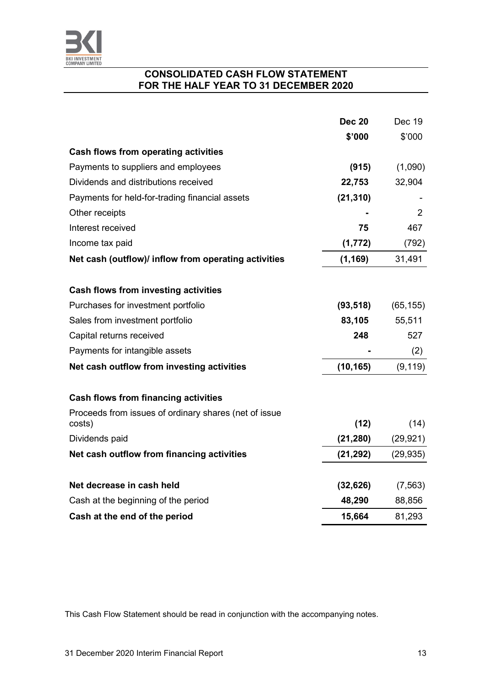

## **CONSOLIDATED CASH FLOW STATEMENT FOR THE HALF YEAR TO 31 DECEMBER 2020**

|                                                       | <b>Dec 20</b> | Dec 19    |
|-------------------------------------------------------|---------------|-----------|
|                                                       | \$'000        | \$'000    |
| <b>Cash flows from operating activities</b>           |               |           |
| Payments to suppliers and employees                   | (915)         | (1,090)   |
| Dividends and distributions received                  | 22,753        | 32,904    |
| Payments for held-for-trading financial assets        | (21, 310)     |           |
| Other receipts                                        |               | 2         |
| Interest received                                     | 75            | 467       |
| Income tax paid                                       | (1, 772)      | (792)     |
| Net cash (outflow)/ inflow from operating activities  | (1, 169)      | 31,491    |
|                                                       |               |           |
| <b>Cash flows from investing activities</b>           |               |           |
| Purchases for investment portfolio                    | (93, 518)     | (65, 155) |
| Sales from investment portfolio                       | 83,105        | 55,511    |
| Capital returns received                              | 248           | 527       |
| Payments for intangible assets                        |               | (2)       |
| Net cash outflow from investing activities            | (10, 165)     | (9, 119)  |
| <b>Cash flows from financing activities</b>           |               |           |
| Proceeds from issues of ordinary shares (net of issue |               |           |
| costs)                                                | (12)          | (14)      |
| Dividends paid                                        | (21, 280)     | (29, 921) |
| Net cash outflow from financing activities            | (21, 292)     | (29, 935) |
| Net decrease in cash held                             | (32, 626)     | (7, 563)  |
| Cash at the beginning of the period                   | 48,290        | 88,856    |
| Cash at the end of the period                         | 15,664        | 81,293    |

This Cash Flow Statement should be read in conjunction with the accompanying notes.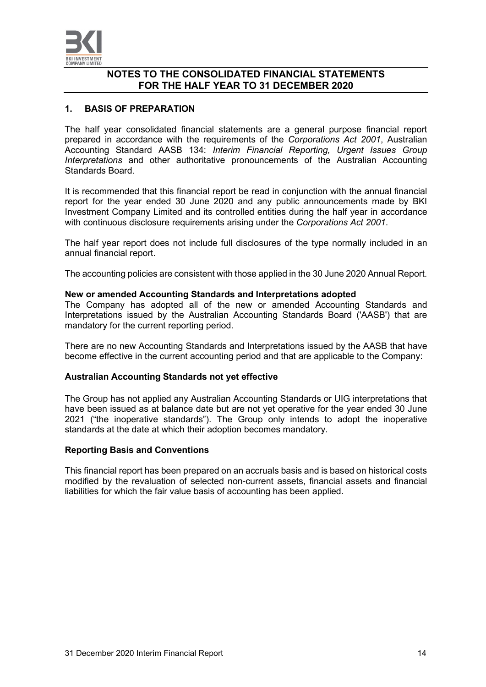

#### **1. BASIS OF PREPARATION**

The half year consolidated financial statements are a general purpose financial report prepared in accordance with the requirements of the *Corporations Act 2001*, Australian Accounting Standard AASB 134: *Interim Financial Reporting, Urgent Issues Group Interpretations* and other authoritative pronouncements of the Australian Accounting Standards Board.

It is recommended that this financial report be read in conjunction with the annual financial report for the year ended 30 June 2020 and any public announcements made by BKI Investment Company Limited and its controlled entities during the half year in accordance with continuous disclosure requirements arising under the *Corporations Act 2001*.

The half year report does not include full disclosures of the type normally included in an annual financial report.

The accounting policies are consistent with those applied in the 30 June 2020 Annual Report.

#### **New or amended Accounting Standards and Interpretations adopted**

The Company has adopted all of the new or amended Accounting Standards and Interpretations issued by the Australian Accounting Standards Board ('AASB') that are mandatory for the current reporting period.

There are no new Accounting Standards and Interpretations issued by the AASB that have become effective in the current accounting period and that are applicable to the Company:

#### **Australian Accounting Standards not yet effective**

The Group has not applied any Australian Accounting Standards or UIG interpretations that have been issued as at balance date but are not yet operative for the year ended 30 June 2021 ("the inoperative standards"). The Group only intends to adopt the inoperative standards at the date at which their adoption becomes mandatory.

#### **Reporting Basis and Conventions**

This financial report has been prepared on an accruals basis and is based on historical costs modified by the revaluation of selected non-current assets, financial assets and financial liabilities for which the fair value basis of accounting has been applied.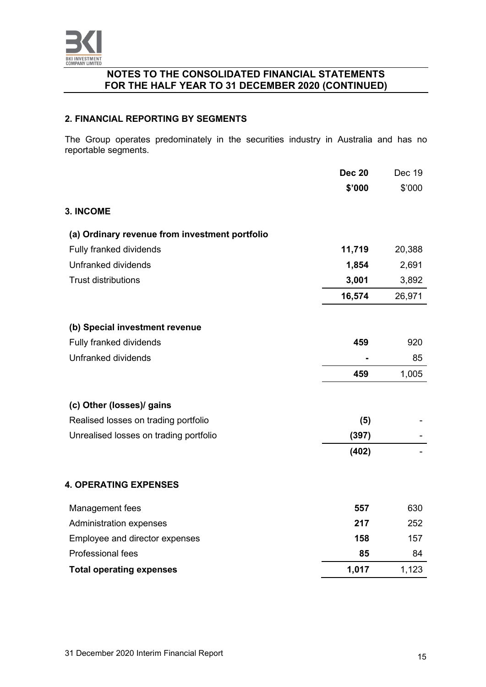

#### **2. FINANCIAL REPORTING BY SEGMENTS**

The Group operates predominately in the securities industry in Australia and has no reportable segments.

|                                                | <b>Dec 20</b> | Dec 19 |
|------------------------------------------------|---------------|--------|
|                                                | \$'000        | \$'000 |
| <b>3. INCOME</b>                               |               |        |
| (a) Ordinary revenue from investment portfolio |               |        |
| Fully franked dividends                        | 11,719        | 20,388 |
| Unfranked dividends                            | 1,854         | 2,691  |
| <b>Trust distributions</b>                     | 3,001         | 3,892  |
|                                                | 16,574        | 26,971 |
| (b) Special investment revenue                 |               |        |
| Fully franked dividends                        | 459           | 920    |
| Unfranked dividends                            |               | 85     |
|                                                | 459           | 1,005  |
| (c) Other (losses)/ gains                      |               |        |
| Realised losses on trading portfolio           | (5)           |        |
| Unrealised losses on trading portfolio         | (397)         |        |
|                                                | (402)         |        |
| <b>4. OPERATING EXPENSES</b>                   |               |        |
| Management fees                                | 557           | 630    |
| Administration expenses                        | 217           | 252    |
| Employee and director expenses                 | 158           | 157    |
| Professional fees                              | 85            | 84     |
| <b>Total operating expenses</b>                | 1,017         | 1,123  |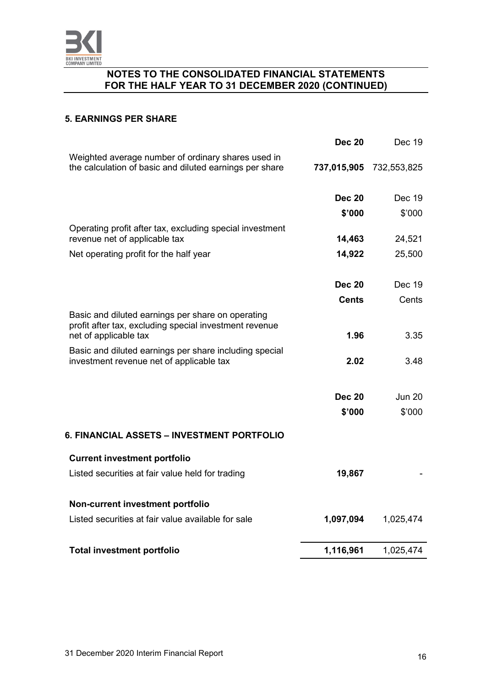

#### **5. EARNINGS PER SHARE**

|                                                                                                                                      | <b>Dec 20</b> | Dec 19        |
|--------------------------------------------------------------------------------------------------------------------------------------|---------------|---------------|
| Weighted average number of ordinary shares used in<br>the calculation of basic and diluted earnings per share                        | 737,015,905   | 732,553,825   |
|                                                                                                                                      | <b>Dec 20</b> | Dec 19        |
|                                                                                                                                      | \$'000        | \$'000        |
| Operating profit after tax, excluding special investment<br>revenue net of applicable tax                                            | 14,463        | 24,521        |
| Net operating profit for the half year                                                                                               | 14,922        | 25,500        |
|                                                                                                                                      |               |               |
|                                                                                                                                      | <b>Dec 20</b> | Dec 19        |
|                                                                                                                                      | Cents         | Cents         |
| Basic and diluted earnings per share on operating<br>profit after tax, excluding special investment revenue<br>net of applicable tax | 1.96          | 3.35          |
| Basic and diluted earnings per share including special<br>investment revenue net of applicable tax                                   | 2.02          | 3.48          |
|                                                                                                                                      | <b>Dec 20</b> | <b>Jun 20</b> |
|                                                                                                                                      | \$'000        | \$'000        |
| 6. FINANCIAL ASSETS - INVESTMENT PORTFOLIO                                                                                           |               |               |
| <b>Current investment portfolio</b>                                                                                                  |               |               |
| Listed securities at fair value held for trading                                                                                     | 19,867        |               |
| Non-current investment portfolio                                                                                                     |               |               |
| Listed securities at fair value available for sale                                                                                   | 1,097,094     | 1,025,474     |
| <b>Total investment portfolio</b>                                                                                                    | 1,116,961     | 1,025,474     |
|                                                                                                                                      |               |               |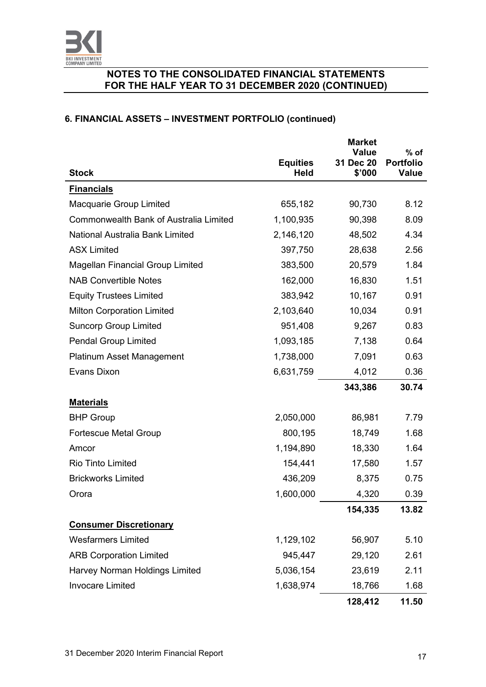

# **6. FINANCIAL ASSETS – INVESTMENT PORTFOLIO (continued)**

|                                         |                                | <b>Market</b><br><b>Value</b> | $%$ of                           |
|-----------------------------------------|--------------------------------|-------------------------------|----------------------------------|
| <b>Stock</b>                            | <b>Equities</b><br><b>Held</b> | 31 Dec 20<br>\$'000           | <b>Portfolio</b><br><b>Value</b> |
| <b>Financials</b>                       |                                |                               |                                  |
| <b>Macquarie Group Limited</b>          | 655,182                        | 90,730                        | 8.12                             |
| Commonwealth Bank of Australia Limited  | 1,100,935                      | 90,398                        | 8.09                             |
| National Australia Bank Limited         | 2,146,120                      | 48,502                        | 4.34                             |
| <b>ASX Limited</b>                      | 397,750                        | 28,638                        | 2.56                             |
| <b>Magellan Financial Group Limited</b> | 383,500                        | 20,579                        | 1.84                             |
| <b>NAB Convertible Notes</b>            | 162,000                        | 16,830                        | 1.51                             |
| <b>Equity Trustees Limited</b>          | 383,942                        | 10,167                        | 0.91                             |
| <b>Milton Corporation Limited</b>       | 2,103,640                      | 10,034                        | 0.91                             |
| <b>Suncorp Group Limited</b>            | 951,408                        | 9,267                         | 0.83                             |
| <b>Pendal Group Limited</b>             | 1,093,185                      | 7,138                         | 0.64                             |
| <b>Platinum Asset Management</b>        | 1,738,000                      | 7,091                         | 0.63                             |
| Evans Dixon                             | 6,631,759                      | 4,012                         | 0.36                             |
|                                         |                                | 343,386                       | 30.74                            |
| <b>Materials</b>                        |                                |                               |                                  |
| <b>BHP Group</b>                        | 2,050,000                      | 86,981                        | 7.79                             |
| <b>Fortescue Metal Group</b>            | 800,195                        | 18,749                        | 1.68                             |
| Amcor                                   | 1,194,890                      | 18,330                        | 1.64                             |
| <b>Rio Tinto Limited</b>                | 154,441                        | 17,580                        | 1.57                             |
| <b>Brickworks Limited</b>               | 436,209                        | 8,375                         | 0.75                             |
| Orora                                   | 1,600,000                      | 4,320                         | 0.39                             |
|                                         |                                | 154,335                       | 13.82                            |
| <b>Consumer Discretionary</b>           |                                |                               |                                  |
| <b>Wesfarmers Limited</b>               | 1,129,102                      | 56,907                        | 5.10                             |
| <b>ARB Corporation Limited</b>          | 945,447                        | 29,120                        | 2.61                             |
| Harvey Norman Holdings Limited          | 5,036,154                      | 23,619                        | 2.11                             |
| <b>Invocare Limited</b>                 | 1,638,974                      | 18,766                        | 1.68                             |
|                                         |                                | 128,412                       | 11.50                            |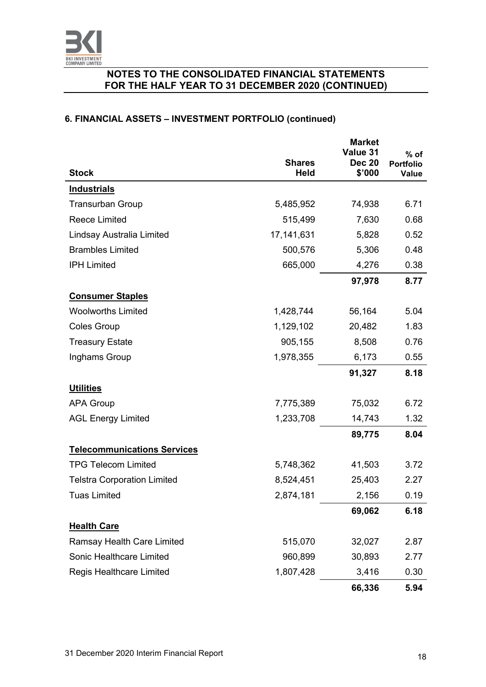

# **6. FINANCIAL ASSETS – INVESTMENT PORTFOLIO (continued)**

|                                    | <b>Shares</b> | <b>Market</b><br>Value 31<br><b>Dec 20</b> | $%$ of<br><b>Portfolio</b> |
|------------------------------------|---------------|--------------------------------------------|----------------------------|
| <b>Stock</b>                       | <b>Held</b>   | \$'000                                     | <b>Value</b>               |
| <b>Industrials</b>                 |               |                                            |                            |
| <b>Transurban Group</b>            | 5,485,952     | 74,938                                     | 6.71                       |
| <b>Reece Limited</b>               | 515,499       | 7,630                                      | 0.68                       |
| Lindsay Australia Limited          | 17, 141, 631  | 5,828                                      | 0.52                       |
| <b>Brambles Limited</b>            | 500,576       | 5,306                                      | 0.48                       |
| <b>IPH Limited</b>                 | 665,000       | 4,276                                      | 0.38                       |
|                                    |               | 97,978                                     | 8.77                       |
| <b>Consumer Staples</b>            |               |                                            |                            |
| <b>Woolworths Limited</b>          | 1,428,744     | 56,164                                     | 5.04                       |
| <b>Coles Group</b>                 | 1,129,102     | 20,482                                     | 1.83                       |
| <b>Treasury Estate</b>             | 905,155       | 8,508                                      | 0.76                       |
| Inghams Group                      | 1,978,355     | 6,173                                      | 0.55                       |
|                                    |               | 91,327                                     | 8.18                       |
| <b>Utilities</b>                   |               |                                            |                            |
| <b>APA Group</b>                   | 7,775,389     | 75,032                                     | 6.72                       |
| <b>AGL Energy Limited</b>          | 1,233,708     | 14,743                                     | 1.32                       |
|                                    |               | 89,775                                     | 8.04                       |
| <b>Telecommunications Services</b> |               |                                            |                            |
| <b>TPG Telecom Limited</b>         | 5,748,362     | 41,503                                     | 3.72                       |
| <b>Telstra Corporation Limited</b> | 8,524,451     | 25,403                                     | 2.27                       |
| <b>Tuas Limited</b>                | 2,874,181     | 2,156                                      | 0.19                       |
|                                    |               | 69,062                                     | 6.18                       |
| <b>Health Care</b>                 |               |                                            |                            |
| <b>Ramsay Health Care Limited</b>  | 515,070       | 32,027                                     | 2.87                       |
| Sonic Healthcare Limited           | 960,899       | 30,893                                     | 2.77                       |
| <b>Regis Healthcare Limited</b>    | 1,807,428     | 3,416                                      | 0.30                       |
|                                    |               | 66,336                                     | 5.94                       |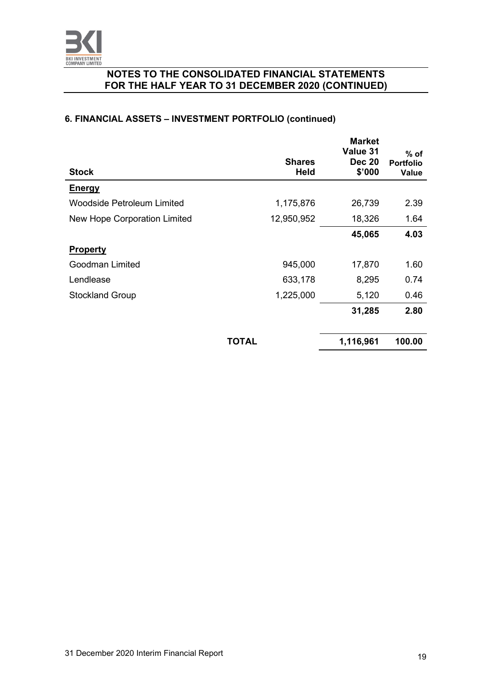

# **6. FINANCIAL ASSETS – INVESTMENT PORTFOLIO (continued)**

| <b>Stock</b>                 | <b>Shares</b><br><b>Held</b> | <b>Market</b><br>Value 31<br><b>Dec 20</b><br>\$'000 | $%$ of<br><b>Portfolio</b><br><b>Value</b> |
|------------------------------|------------------------------|------------------------------------------------------|--------------------------------------------|
| <b>Energy</b>                |                              |                                                      |                                            |
| Woodside Petroleum Limited   | 1,175,876                    | 26,739                                               | 2.39                                       |
| New Hope Corporation Limited | 12,950,952                   | 18,326                                               | 1.64                                       |
|                              |                              | 45,065                                               | 4.03                                       |
| <b>Property</b>              |                              |                                                      |                                            |
| Goodman Limited              | 945,000                      | 17,870                                               | 1.60                                       |
| Lendlease                    | 633,178                      | 8,295                                                | 0.74                                       |
| <b>Stockland Group</b>       | 1,225,000                    | 5,120                                                | 0.46                                       |
|                              |                              | 31,285                                               | 2.80                                       |
|                              | TOTAL                        | 1,116,961                                            | 100.00                                     |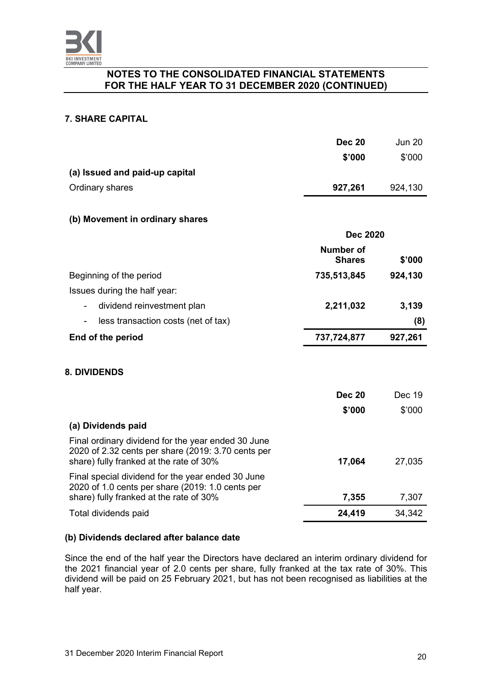

## **7. SHARE CAPITAL**

|                                                                                                                                                     | <b>Dec 20</b><br>\$'000           | <b>Jun 20</b><br>\$'000 |
|-----------------------------------------------------------------------------------------------------------------------------------------------------|-----------------------------------|-------------------------|
| (a) Issued and paid-up capital                                                                                                                      |                                   |                         |
| Ordinary shares                                                                                                                                     | 927,261                           | 924,130                 |
|                                                                                                                                                     |                                   |                         |
| (b) Movement in ordinary shares                                                                                                                     |                                   |                         |
|                                                                                                                                                     | <b>Dec 2020</b>                   |                         |
|                                                                                                                                                     | <b>Number of</b><br><b>Shares</b> | \$'000                  |
| Beginning of the period                                                                                                                             | 735,513,845                       | 924,130                 |
| Issues during the half year:                                                                                                                        |                                   |                         |
| dividend reinvestment plan                                                                                                                          | 2,211,032                         | 3,139                   |
| less transaction costs (net of tax)                                                                                                                 |                                   | (8)                     |
| End of the period                                                                                                                                   | 737,724,877                       | 927,261                 |
|                                                                                                                                                     |                                   |                         |
| <b>8. DIVIDENDS</b>                                                                                                                                 |                                   |                         |
|                                                                                                                                                     | <b>Dec 20</b>                     | Dec 19                  |
|                                                                                                                                                     | \$'000                            | \$'000                  |
| (a) Dividends paid                                                                                                                                  |                                   |                         |
| Final ordinary dividend for the year ended 30 June<br>2020 of 2.32 cents per share (2019: 3.70 cents per<br>share) fully franked at the rate of 30% | 17,064                            | 27,035                  |
| Final special dividend for the year ended 30 June<br>2020 of 1.0 cents per share (2019: 1.0 cents per                                               |                                   |                         |
| share) fully franked at the rate of 30%                                                                                                             | 7,355                             | 7,307                   |
| Total dividends paid                                                                                                                                | 24,419                            | 34,342                  |
|                                                                                                                                                     |                                   |                         |

## **(b) Dividends declared after balance date**

Since the end of the half year the Directors have declared an interim ordinary dividend for the 2021 financial year of 2.0 cents per share, fully franked at the tax rate of 30%. This dividend will be paid on 25 February 2021, but has not been recognised as liabilities at the half year.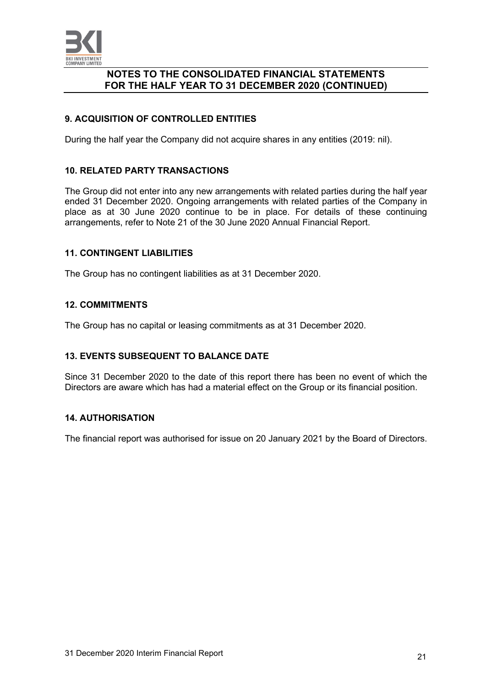

## **9. ACQUISITION OF CONTROLLED ENTITIES**

During the half year the Company did not acquire shares in any entities (2019: nil).

#### **10. RELATED PARTY TRANSACTIONS**

The Group did not enter into any new arrangements with related parties during the half year ended 31 December 2020. Ongoing arrangements with related parties of the Company in place as at 30 June 2020 continue to be in place. For details of these continuing arrangements, refer to Note 21 of the 30 June 2020 Annual Financial Report.

#### **11. CONTINGENT LIABILITIES**

The Group has no contingent liabilities as at 31 December 2020.

#### **12. COMMITMENTS**

The Group has no capital or leasing commitments as at 31 December 2020.

#### **13. EVENTS SUBSEQUENT TO BALANCE DATE**

Since 31 December 2020 to the date of this report there has been no event of which the Directors are aware which has had a material effect on the Group or its financial position.

#### **14. AUTHORISATION**

The financial report was authorised for issue on 20 January 2021 by the Board of Directors.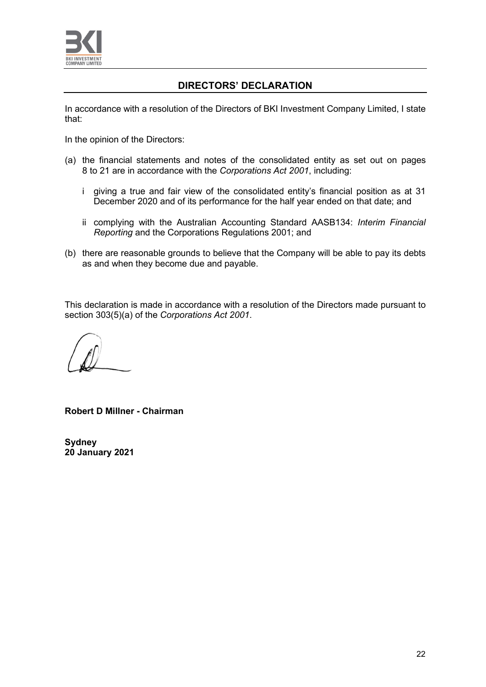

# **DIRECTORS' DECLARATION**

In accordance with a resolution of the Directors of BKI Investment Company Limited, I state that:

In the opinion of the Directors:

- (a) the financial statements and notes of the consolidated entity as set out on pages 8 to 21 are in accordance with the *Corporations Act 2001*, including:
	- i giving a true and fair view of the consolidated entity's financial position as at 31 December 2020 and of its performance for the half year ended on that date; and
	- ii complying with the Australian Accounting Standard AASB134: *Interim Financial Reporting* and the Corporations Regulations 2001; and
- (b) there are reasonable grounds to believe that the Company will be able to pay its debts as and when they become due and payable.

This declaration is made in accordance with a resolution of the Directors made pursuant to section 303(5)(a) of the *Corporations Act 2001*.

**Robert D Millner - Chairman**

**Sydney 20 January 2021**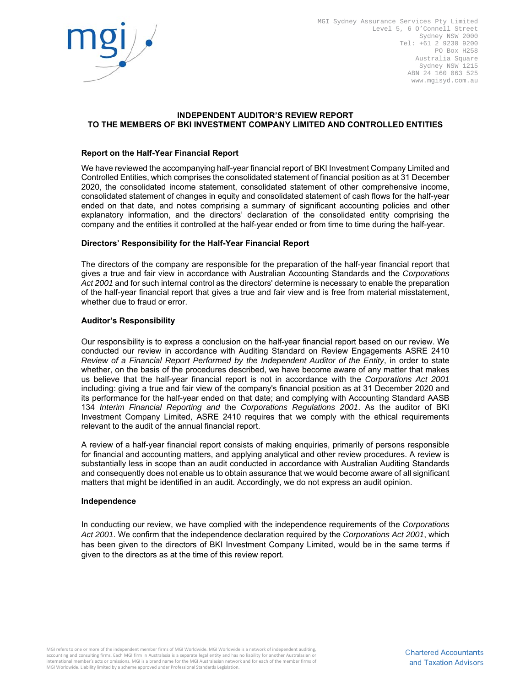

MGI Sydney Assurance Services Pty Limited Level 5, 6 O'Connell Street Sydney NSW 2000 Tel: +61 2 9230 9200 PO Box H258 Australia Square Sydney NSW 1215 ABN 24 160 063 525 www.mgisyd.com.au

#### **INDEPENDENT AUDITOR'S REVIEW REPORT TO THE MEMBERS OF BKI INVESTMENT COMPANY LIMITED AND CONTROLLED ENTITIES**

#### **Report on the Half-Year Financial Report**

We have reviewed the accompanying half-year financial report of BKI Investment Company Limited and Controlled Entities, which comprises the consolidated statement of financial position as at 31 December 2020, the consolidated income statement, consolidated statement of other comprehensive income, consolidated statement of changes in equity and consolidated statement of cash flows for the half-year ended on that date, and notes comprising a summary of significant accounting policies and other explanatory information, and the directors' declaration of the consolidated entity comprising the company and the entities it controlled at the half-year ended or from time to time during the half-year.

#### **Directors' Responsibility for the Half-Year Financial Report**

The directors of the company are responsible for the preparation of the half-year financial report that gives a true and fair view in accordance with Australian Accounting Standards and the *Corporations Act 2001* and for such internal control as the directors' determine is necessary to enable the preparation of the half-year financial report that gives a true and fair view and is free from material misstatement, whether due to fraud or error.

#### **Auditor's Responsibility**

Our responsibility is to express a conclusion on the half-year financial report based on our review. We conducted our review in accordance with Auditing Standard on Review Engagements ASRE 2410 *Review of a Financial Report Performed by the Independent Auditor of the Entity*, in order to state whether, on the basis of the procedures described, we have become aware of any matter that makes us believe that the half-year financial report is not in accordance with the *Corporations Act 2001* including: giving a true and fair view of the company's financial position as at 31 December 2020 and its performance for the half-year ended on that date; and complying with Accounting Standard AASB 134 *Interim Financial Reporting and* the *Corporations Regulations 2001*. As the auditor of BKI Investment Company Limited, ASRE 2410 requires that we comply with the ethical requirements relevant to the audit of the annual financial report.

A review of a half-year financial report consists of making enquiries, primarily of persons responsible for financial and accounting matters, and applying analytical and other review procedures. A review is substantially less in scope than an audit conducted in accordance with Australian Auditing Standards and consequently does not enable us to obtain assurance that we would become aware of all significant matters that might be identified in an audit. Accordingly, we do not express an audit opinion.

#### **Independence**

In conducting our review, we have complied with the independence requirements of the *Corporations Act 2001*. We confirm that the independence declaration required by the *Corporations Act 2001*, which has been given to the directors of BKI Investment Company Limited, would be in the same terms if given to the directors as at the time of this review report.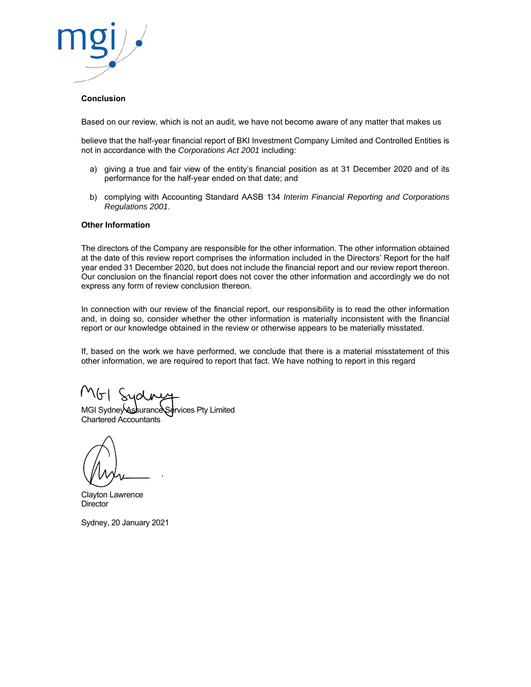

#### **Conclusion**

Based on our review, which is not an audit, we have not become aware of any matter that makes us

believe that the half-year financial report of BKI Investment Company Limited and Controlled Entities is not in accordance with the *Corporations Act 2001* including:

- a) giving a true and fair view of the entity's financial position as at 31 December 2020 and of its performance for the half-year ended on that date; and
- b) complying with Accounting Standard AASB 134 *Interim Financial Reporting and Corporations Regulations 2001*.

#### **Other Information**

The directors of the Company are responsible for the other information. The other information obtained at the date of this review report comprises the information included in the Directors' Report for the half year ended 31 December 2020, but does not include the financial report and our review report thereon. Our conclusion on the financial report does not cover the other information and accordingly we do not express any form of review conclusion thereon.

In connection with our review of the financial report, our responsibility is to read the other information and, in doing so, consider whether the other information is materially inconsistent with the financial report or our knowledge obtained in the review or otherwise appears to be materially misstated.

If, based on the work we have performed, we conclude that there is a material misstatement of this other information, we are required to report that fact. We have nothing to report in this regard

MGI Sydney Assurance Services Pty Limited Chartered Accountants

Clayton Lawrence **Director** 

Sydney, 20 January 2021